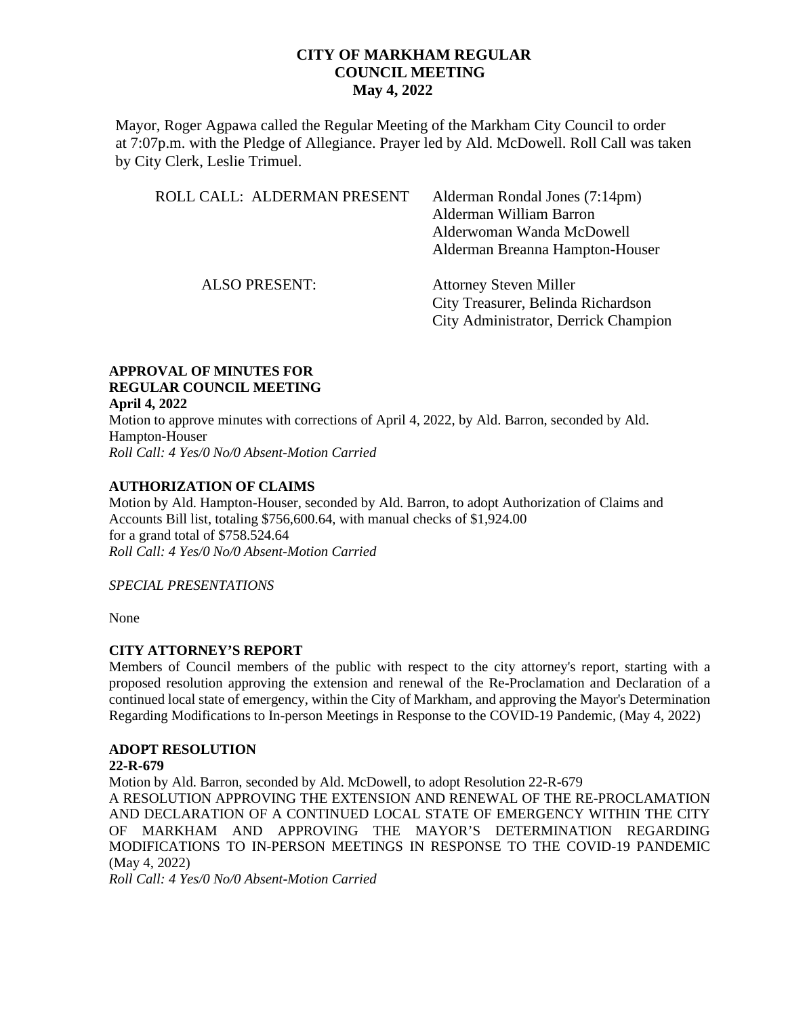Mayor, Roger Agpawa called the Regular Meeting of the Markham City Council to order at 7:07p.m. with the Pledge of Allegiance. Prayer led by Ald. McDowell. Roll Call was taken by City Clerk, Leslie Trimuel.

| ROLL CALL: ALDERMAN PRESENT | Alderman Rondal Jones (7:14pm)<br>Alderman William Barron<br>Alderwoman Wanda McDowell<br>Alderman Breanna Hampton-Houser |
|-----------------------------|---------------------------------------------------------------------------------------------------------------------------|
| <b>ALSO PRESENT:</b>        | <b>Attorney Steven Miller</b><br>City Treasurer, Belinda Richardson<br>City Administrator, Derrick Champion               |

#### **APPROVAL OF MINUTES FOR REGULAR COUNCIL MEETING April 4, 2022**

Motion to approve minutes with corrections of April 4, 2022, by Ald. Barron, seconded by Ald. Hampton-Houser *Roll Call: 4 Yes/0 No/0 Absent-Motion Carried*

# **AUTHORIZATION OF CLAIMS**

Motion by Ald. Hampton-Houser, seconded by Ald. Barron, to adopt Authorization of Claims and Accounts Bill list, totaling \$756,600.64, with manual checks of \$1,924.00 for a grand total of \$758.524.64 *Roll Call: 4 Yes/0 No/0 Absent-Motion Carried*

### *SPECIAL PRESENTATIONS*

None

### **CITY ATTORNEY'S REPORT**

Members of Council members of the public with respect to the city attorney's report, starting with a proposed resolution approving the extension and renewal of the Re-Proclamation and Declaration of a continued local state of emergency, within the City of Markham, and approving the Mayor's Determination Regarding Modifications to In-person Meetings in Response to the COVID-19 Pandemic, (May 4, 2022)

# **ADOPT RESOLUTION**

## **22-R-679**

Motion by Ald. Barron, seconded by Ald. McDowell, to adopt Resolution 22-R-679 A RESOLUTION APPROVING THE EXTENSION AND RENEWAL OF THE RE-PROCLAMATION AND DECLARATION OF A CONTINUED LOCAL STATE OF EMERGENCY WITHIN THE CITY OF MARKHAM AND APPROVING THE MAYOR'S DETERMINATION REGARDING MODIFICATIONS TO IN-PERSON MEETINGS IN RESPONSE TO THE COVID-19 PANDEMIC (May 4, 2022)

*Roll Call: 4 Yes/0 No/0 Absent-Motion Carried*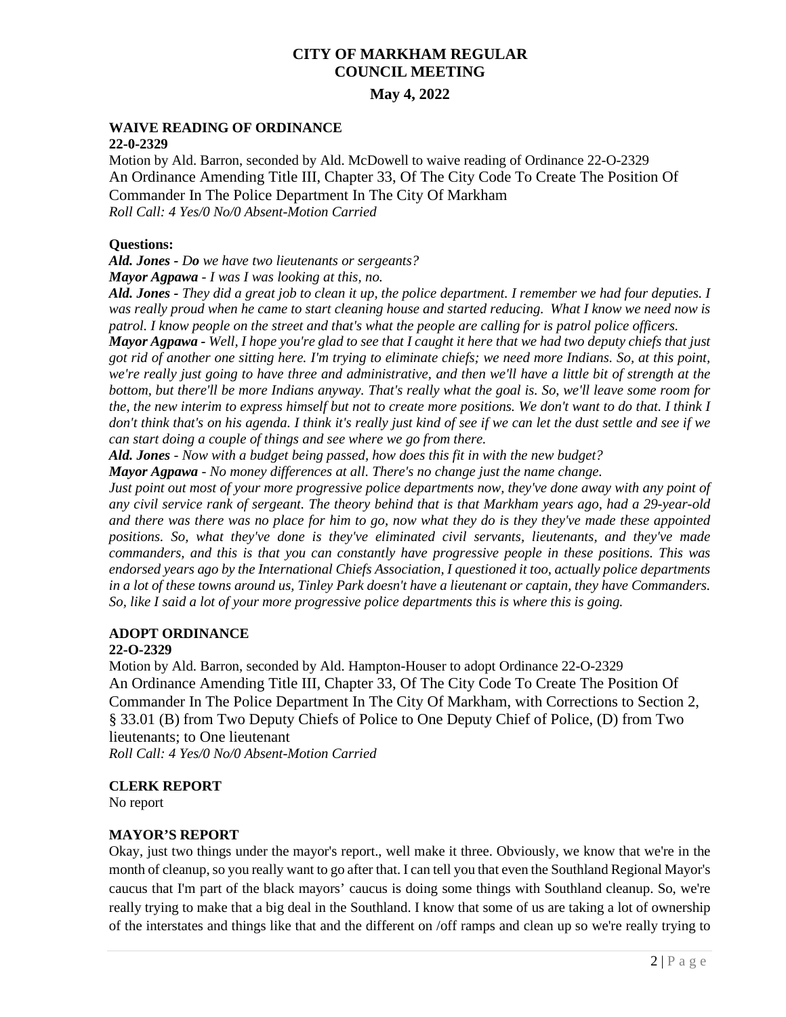# **May 4, 2022**

#### **WAIVE READING OF ORDINANCE 22-0-2329**

Motion by Ald. Barron, seconded by Ald. McDowell to waive reading of Ordinance 22-O-2329 An Ordinance Amending Title III, Chapter 33, Of The City Code To Create The Position Of Commander In The Police Department In The City Of Markham *Roll Call: 4 Yes/0 No/0 Absent-Motion Carried* 

### **Questions:**

*Ald. Jones - Do we have two lieutenants or sergeants?* 

*Mayor Agpawa - I was I was looking at this, no.*

*Ald. Jones - They did a great job to clean it up, the police department. I remember we had four deputies. I was really proud when he came to start cleaning house and started reducing. What I know we need now is patrol. I know people on the street and that's what the people are calling for is patrol police officers.* 

*Mayor Agpawa - Well, I hope you're glad to see that I caught it here that we had two deputy chiefs that just got rid of another one sitting here. I'm trying to eliminate chiefs; we need more Indians. So, at this point, we're really just going to have three and administrative, and then we'll have a little bit of strength at the bottom, but there'll be more Indians anyway. That's really what the goal is. So, we'll leave some room for the, the new interim to express himself but not to create more positions. We don't want to do that. I think I don't think that's on his agenda. I think it's really just kind of see if we can let the dust settle and see if we can start doing a couple of things and see where we go from there.* 

*Ald. Jones - Now with a budget being passed, how does this fit in with the new budget?*

*Mayor Agpawa - No money differences at all. There's no change just the name change.* 

*Just point out most of your more progressive police departments now, they've done away with any point of any civil service rank of sergeant. The theory behind that is that Markham years ago, had a 29-year-old and there was there was no place for him to go, now what they do is they they've made these appointed positions. So, what they've done is they've eliminated civil servants, lieutenants, and they've made commanders, and this is that you can constantly have progressive people in these positions. This was endorsed years ago by the International Chiefs Association, I questioned it too, actually police departments in a lot of these towns around us, Tinley Park doesn't have a lieutenant or captain, they have Commanders. So, like I said a lot of your more progressive police departments this is where this is going.*

# **ADOPT ORDINANCE**

### **22-O-2329**

Motion by Ald. Barron, seconded by Ald. Hampton-Houser to adopt Ordinance 22-O-2329 An Ordinance Amending Title III, Chapter 33, Of The City Code To Create The Position Of Commander In The Police Department In The City Of Markham, with Corrections to Section 2, § 33.01 (B) from Two Deputy Chiefs of Police to One Deputy Chief of Police, (D) from Two lieutenants; to One lieutenant

*Roll Call: 4 Yes/0 No/0 Absent-Motion Carried* 

# **CLERK REPORT**

No report

### **MAYOR'S REPORT**

Okay, just two things under the mayor's report., well make it three. Obviously, we know that we're in the month of cleanup, so you really want to go after that. I can tell you that even the Southland Regional Mayor's caucus that I'm part of the black mayors' caucus is doing some things with Southland cleanup. So, we're really trying to make that a big deal in the Southland. I know that some of us are taking a lot of ownership of the interstates and things like that and the different on /off ramps and clean up so we're really trying to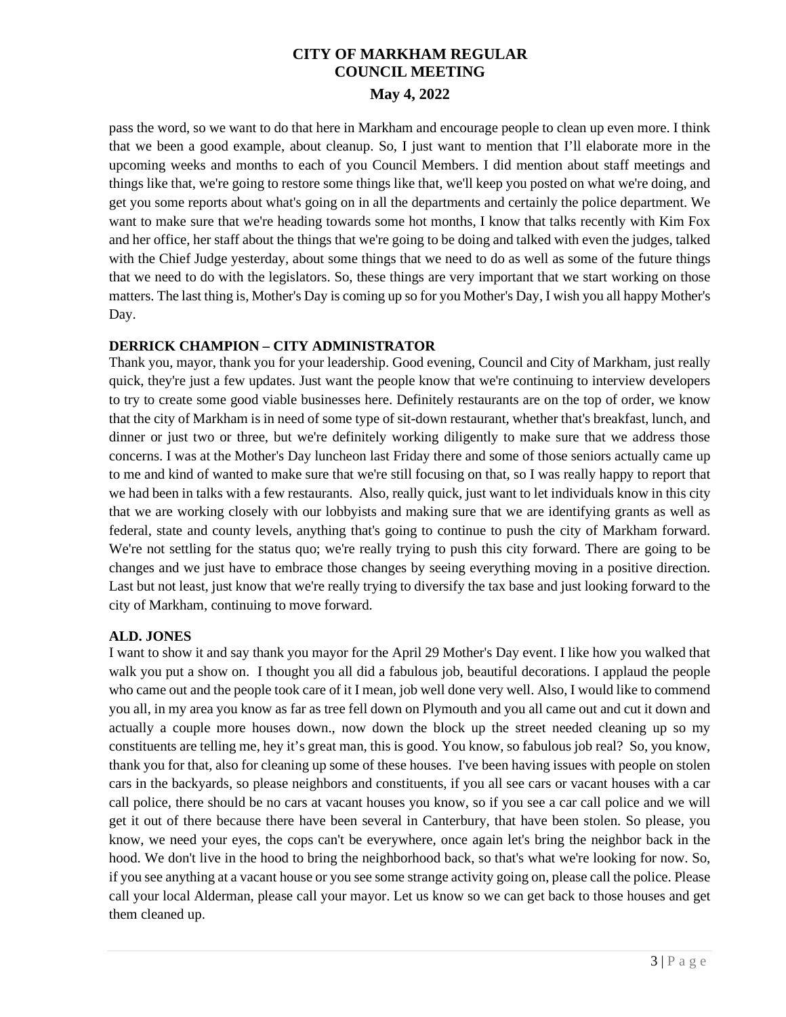pass the word, so we want to do that here in Markham and encourage people to clean up even more. I think that we been a good example, about cleanup. So, I just want to mention that I'll elaborate more in the upcoming weeks and months to each of you Council Members. I did mention about staff meetings and things like that, we're going to restore some things like that, we'll keep you posted on what we're doing, and get you some reports about what's going on in all the departments and certainly the police department. We want to make sure that we're heading towards some hot months, I know that talks recently with Kim Fox and her office, her staff about the things that we're going to be doing and talked with even the judges, talked with the Chief Judge yesterday, about some things that we need to do as well as some of the future things that we need to do with the legislators. So, these things are very important that we start working on those matters. The last thing is, Mother's Day is coming up so for you Mother's Day, I wish you all happy Mother's Day.

# **DERRICK CHAMPION – CITY ADMINISTRATOR**

Thank you, mayor, thank you for your leadership. Good evening, Council and City of Markham, just really quick, they're just a few updates. Just want the people know that we're continuing to interview developers to try to create some good viable businesses here. Definitely restaurants are on the top of order, we know that the city of Markham is in need of some type of sit-down restaurant, whether that's breakfast, lunch, and dinner or just two or three, but we're definitely working diligently to make sure that we address those concerns. I was at the Mother's Day luncheon last Friday there and some of those seniors actually came up to me and kind of wanted to make sure that we're still focusing on that, so I was really happy to report that we had been in talks with a few restaurants. Also, really quick, just want to let individuals know in this city that we are working closely with our lobbyists and making sure that we are identifying grants as well as federal, state and county levels, anything that's going to continue to push the city of Markham forward. We're not settling for the status quo; we're really trying to push this city forward. There are going to be changes and we just have to embrace those changes by seeing everything moving in a positive direction. Last but not least, just know that we're really trying to diversify the tax base and just looking forward to the city of Markham, continuing to move forward.

# **ALD. JONES**

I want to show it and say thank you mayor for the April 29 Mother's Day event. I like how you walked that walk you put a show on. I thought you all did a fabulous job, beautiful decorations. I applaud the people who came out and the people took care of it I mean, job well done very well. Also, I would like to commend you all, in my area you know as far as tree fell down on Plymouth and you all came out and cut it down and actually a couple more houses down., now down the block up the street needed cleaning up so my constituents are telling me, hey it's great man, this is good. You know, so fabulous job real? So, you know, thank you for that, also for cleaning up some of these houses. I've been having issues with people on stolen cars in the backyards, so please neighbors and constituents, if you all see cars or vacant houses with a car call police, there should be no cars at vacant houses you know, so if you see a car call police and we will get it out of there because there have been several in Canterbury, that have been stolen. So please, you know, we need your eyes, the cops can't be everywhere, once again let's bring the neighbor back in the hood. We don't live in the hood to bring the neighborhood back, so that's what we're looking for now. So, if you see anything at a vacant house or you see some strange activity going on, please call the police. Please call your local Alderman, please call your mayor. Let us know so we can get back to those houses and get them cleaned up.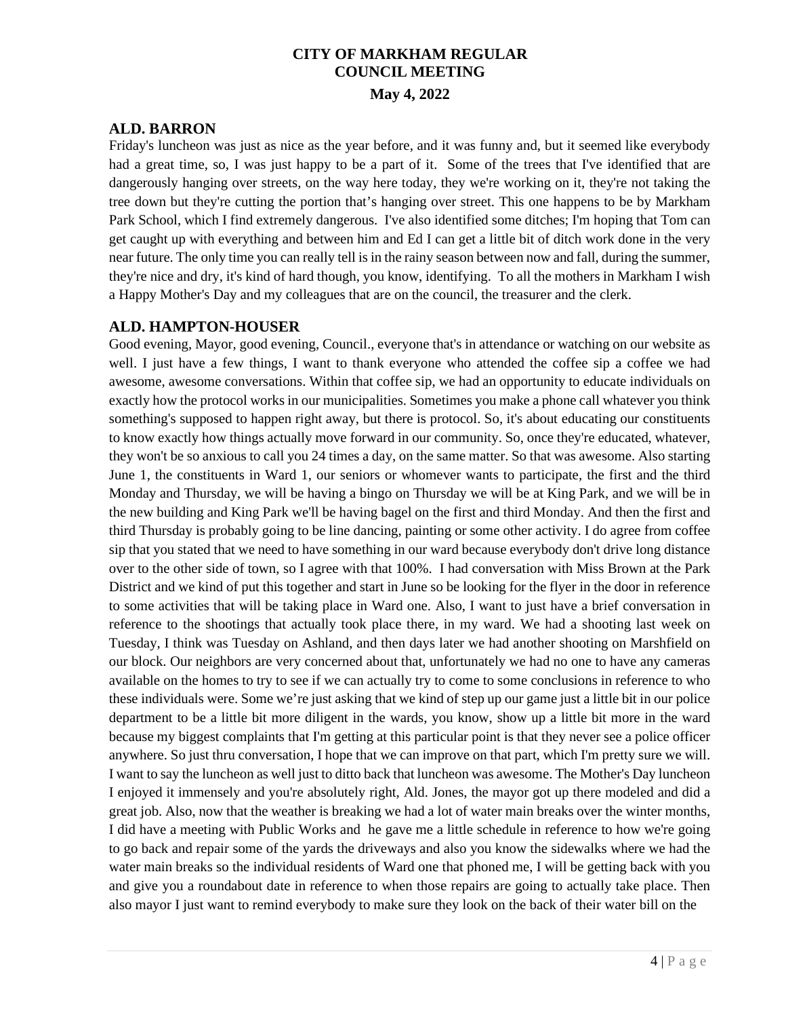# **ALD. BARRON**

Friday's luncheon was just as nice as the year before, and it was funny and, but it seemed like everybody had a great time, so, I was just happy to be a part of it. Some of the trees that I've identified that are dangerously hanging over streets, on the way here today, they we're working on it, they're not taking the tree down but they're cutting the portion that's hanging over street. This one happens to be by Markham Park School, which I find extremely dangerous. I've also identified some ditches; I'm hoping that Tom can get caught up with everything and between him and Ed I can get a little bit of ditch work done in the very near future. The only time you can really tell is in the rainy season between now and fall, during the summer, they're nice and dry, it's kind of hard though, you know, identifying. To all the mothers in Markham I wish a Happy Mother's Day and my colleagues that are on the council, the treasurer and the clerk.

# **ALD. HAMPTON-HOUSER**

Good evening, Mayor, good evening, Council., everyone that's in attendance or watching on our website as well. I just have a few things, I want to thank everyone who attended the coffee sip a coffee we had awesome, awesome conversations. Within that coffee sip, we had an opportunity to educate individuals on exactly how the protocol works in our municipalities. Sometimes you make a phone call whatever you think something's supposed to happen right away, but there is protocol. So, it's about educating our constituents to know exactly how things actually move forward in our community. So, once they're educated, whatever, they won't be so anxious to call you 24 times a day, on the same matter. So that was awesome. Also starting June 1, the constituents in Ward 1, our seniors or whomever wants to participate, the first and the third Monday and Thursday, we will be having a bingo on Thursday we will be at King Park, and we will be in the new building and King Park we'll be having bagel on the first and third Monday. And then the first and third Thursday is probably going to be line dancing, painting or some other activity. I do agree from coffee sip that you stated that we need to have something in our ward because everybody don't drive long distance over to the other side of town, so I agree with that 100%. I had conversation with Miss Brown at the Park District and we kind of put this together and start in June so be looking for the flyer in the door in reference to some activities that will be taking place in Ward one. Also, I want to just have a brief conversation in reference to the shootings that actually took place there, in my ward. We had a shooting last week on Tuesday, I think was Tuesday on Ashland, and then days later we had another shooting on Marshfield on our block. Our neighbors are very concerned about that, unfortunately we had no one to have any cameras available on the homes to try to see if we can actually try to come to some conclusions in reference to who these individuals were. Some we're just asking that we kind of step up our game just a little bit in our police department to be a little bit more diligent in the wards, you know, show up a little bit more in the ward because my biggest complaints that I'm getting at this particular point is that they never see a police officer anywhere. So just thru conversation, I hope that we can improve on that part, which I'm pretty sure we will. I want to say the luncheon as well just to ditto back that luncheon was awesome. The Mother's Day luncheon I enjoyed it immensely and you're absolutely right, Ald. Jones, the mayor got up there modeled and did a great job. Also, now that the weather is breaking we had a lot of water main breaks over the winter months, I did have a meeting with Public Works and he gave me a little schedule in reference to how we're going to go back and repair some of the yards the driveways and also you know the sidewalks where we had the water main breaks so the individual residents of Ward one that phoned me, I will be getting back with you and give you a roundabout date in reference to when those repairs are going to actually take place. Then also mayor I just want to remind everybody to make sure they look on the back of their water bill on the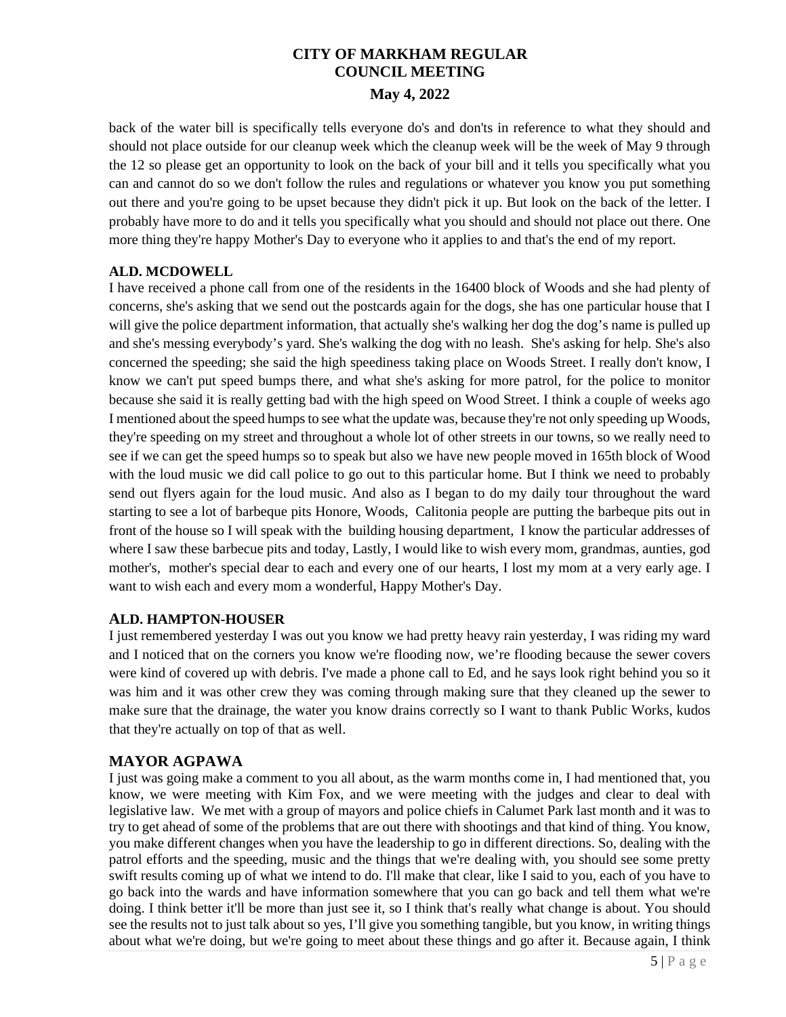back of the water bill is specifically tells everyone do's and don'ts in reference to what they should and should not place outside for our cleanup week which the cleanup week will be the week of May 9 through the 12 so please get an opportunity to look on the back of your bill and it tells you specifically what you can and cannot do so we don't follow the rules and regulations or whatever you know you put something out there and you're going to be upset because they didn't pick it up. But look on the back of the letter. I probably have more to do and it tells you specifically what you should and should not place out there. One more thing they're happy Mother's Day to everyone who it applies to and that's the end of my report.

# **ALD. MCDOWELL**

I have received a phone call from one of the residents in the 16400 block of Woods and she had plenty of concerns, she's asking that we send out the postcards again for the dogs, she has one particular house that I will give the police department information, that actually she's walking her dog the dog's name is pulled up and she's messing everybody's yard. She's walking the dog with no leash. She's asking for help. She's also concerned the speeding; she said the high speediness taking place on Woods Street. I really don't know, I know we can't put speed bumps there, and what she's asking for more patrol, for the police to monitor because she said it is really getting bad with the high speed on Wood Street. I think a couple of weeks ago I mentioned about the speed humps to see what the update was, because they're not only speeding up Woods, they're speeding on my street and throughout a whole lot of other streets in our towns, so we really need to see if we can get the speed humps so to speak but also we have new people moved in 165th block of Wood with the loud music we did call police to go out to this particular home. But I think we need to probably send out flyers again for the loud music. And also as I began to do my daily tour throughout the ward starting to see a lot of barbeque pits Honore, Woods, Calitonia people are putting the barbeque pits out in front of the house so I will speak with the building housing department, I know the particular addresses of where I saw these barbecue pits and today, Lastly, I would like to wish every mom, grandmas, aunties, god mother's, mother's special dear to each and every one of our hearts, I lost my mom at a very early age. I want to wish each and every mom a wonderful, Happy Mother's Day.

### **ALD. HAMPTON-HOUSER**

I just remembered yesterday I was out you know we had pretty heavy rain yesterday, I was riding my ward and I noticed that on the corners you know we're flooding now, we're flooding because the sewer covers were kind of covered up with debris. I've made a phone call to Ed, and he says look right behind you so it was him and it was other crew they was coming through making sure that they cleaned up the sewer to make sure that the drainage, the water you know drains correctly so I want to thank Public Works, kudos that they're actually on top of that as well.

# **MAYOR AGPAWA**

I just was going make a comment to you all about, as the warm months come in, I had mentioned that, you know, we were meeting with Kim Fox, and we were meeting with the judges and clear to deal with legislative law. We met with a group of mayors and police chiefs in Calumet Park last month and it was to try to get ahead of some of the problems that are out there with shootings and that kind of thing. You know, you make different changes when you have the leadership to go in different directions. So, dealing with the patrol efforts and the speeding, music and the things that we're dealing with, you should see some pretty swift results coming up of what we intend to do. I'll make that clear, like I said to you, each of you have to go back into the wards and have information somewhere that you can go back and tell them what we're doing. I think better it'll be more than just see it, so I think that's really what change is about. You should see the results not to just talk about so yes, I'll give you something tangible, but you know, in writing things about what we're doing, but we're going to meet about these things and go after it. Because again, I think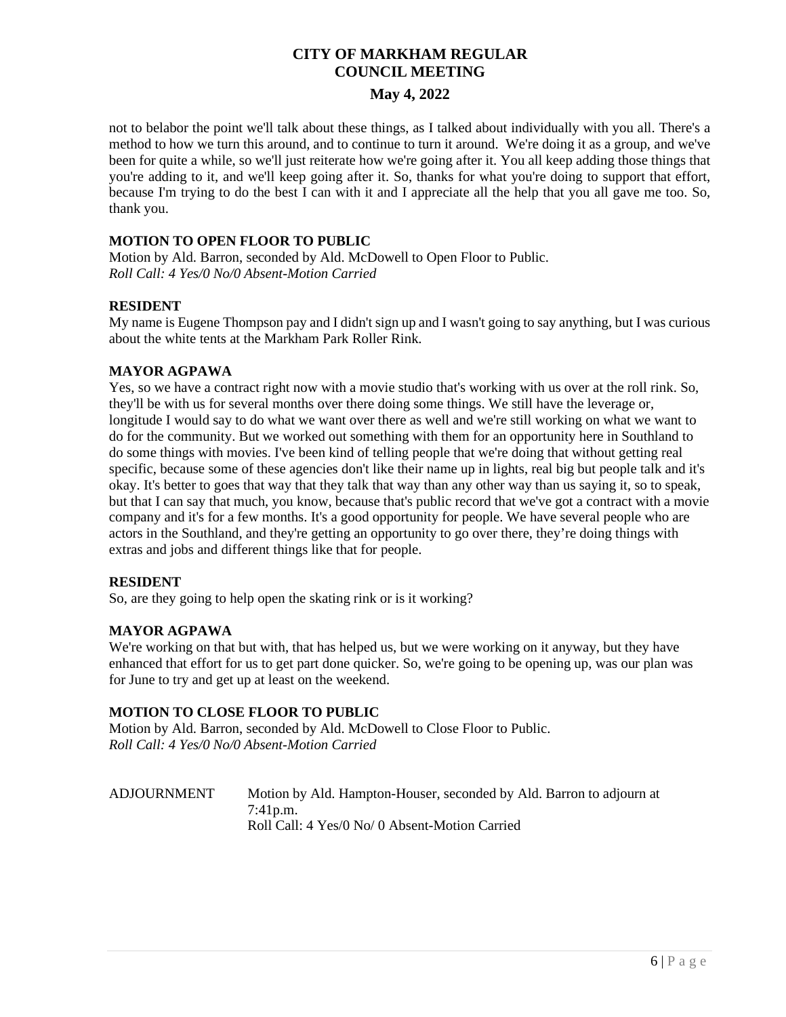# **May 4, 2022**

not to belabor the point we'll talk about these things, as I talked about individually with you all. There's a method to how we turn this around, and to continue to turn it around. We're doing it as a group, and we've been for quite a while, so we'll just reiterate how we're going after it. You all keep adding those things that you're adding to it, and we'll keep going after it. So, thanks for what you're doing to support that effort, because I'm trying to do the best I can with it and I appreciate all the help that you all gave me too. So, thank you.

# **MOTION TO OPEN FLOOR TO PUBLIC**

Motion by Ald. Barron, seconded by Ald. McDowell to Open Floor to Public. *Roll Call: 4 Yes/0 No/0 Absent-Motion Carried*

# **RESIDENT**

My name is Eugene Thompson pay and I didn't sign up and I wasn't going to say anything, but I was curious about the white tents at the Markham Park Roller Rink.

# **MAYOR AGPAWA**

Yes, so we have a contract right now with a movie studio that's working with us over at the roll rink. So, they'll be with us for several months over there doing some things. We still have the leverage or, longitude I would say to do what we want over there as well and we're still working on what we want to do for the community. But we worked out something with them for an opportunity here in Southland to do some things with movies. I've been kind of telling people that we're doing that without getting real specific, because some of these agencies don't like their name up in lights, real big but people talk and it's okay. It's better to goes that way that they talk that way than any other way than us saying it, so to speak, but that I can say that much, you know, because that's public record that we've got a contract with a movie company and it's for a few months. It's a good opportunity for people. We have several people who are actors in the Southland, and they're getting an opportunity to go over there, they're doing things with extras and jobs and different things like that for people.

### **RESIDENT**

So, are they going to help open the skating rink or is it working?

### **MAYOR AGPAWA**

We're working on that but with, that has helped us, but we were working on it anyway, but they have enhanced that effort for us to get part done quicker. So, we're going to be opening up, was our plan was for June to try and get up at least on the weekend.

### **MOTION TO CLOSE FLOOR TO PUBLIC**

Motion by Ald. Barron, seconded by Ald. McDowell to Close Floor to Public. *Roll Call: 4 Yes/0 No/0 Absent-Motion Carried*

ADJOURNMENT Motion by Ald. Hampton-Houser, seconded by Ald. Barron to adjourn at 7:41p.m. Roll Call: 4 Yes/0 No/ 0 Absent-Motion Carried